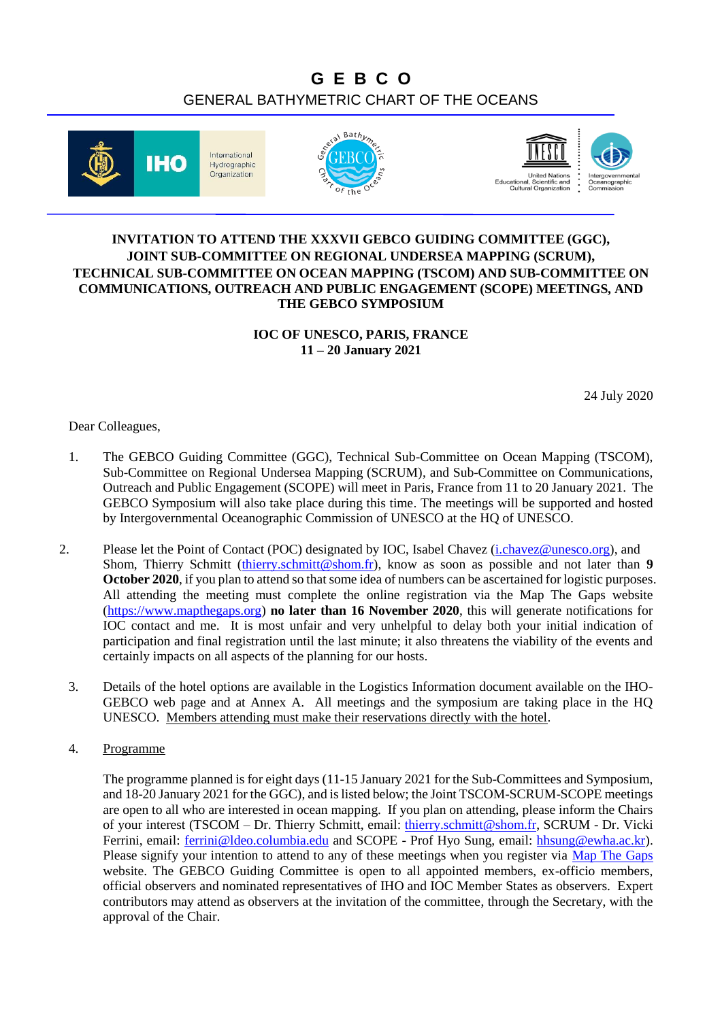## **G E B C O** GENERAL BATHYMETRIC CHART OF THE OCEANS







## **INVITATION TO ATTEND THE XXXVII GEBCO GUIDING COMMITTEE (GGC), JOINT SUB-COMMITTEE ON REGIONAL UNDERSEA MAPPING (SCRUM), TECHNICAL SUB-COMMITTEE ON OCEAN MAPPING (TSCOM) AND SUB-COMMITTEE ON COMMUNICATIONS, OUTREACH AND PUBLIC ENGAGEMENT (SCOPE) MEETINGS, AND THE GEBCO SYMPOSIUM**

**IOC OF UNESCO, PARIS, FRANCE 11 – 20 January 2021**

24 July 2020

Dear Colleagues,

- 1. The GEBCO Guiding Committee (GGC), Technical Sub-Committee on Ocean Mapping (TSCOM), Sub-Committee on Regional Undersea Mapping (SCRUM), and Sub-Committee on Communications, Outreach and Public Engagement (SCOPE) will meet in Paris, France from 11 to 20 January 2021. The GEBCO Symposium will also take place during this time. The meetings will be supported and hosted by Intergovernmental Oceanographic Commission of UNESCO at the HQ of UNESCO.
- 2. Please let the Point of Contact (POC) designated by IOC, Isabel Chavez (*i.chavez@unesco.org*), and Shom, Thierry Schmitt [\(thierry.schmitt@shom.fr\)](mailto:thierry.schmitt@shom.fr), know as soon as possible and not later than **9 October 2020**, if you plan to attend so that some idea of numbers can be ascertained for logistic purposes. All attending the meeting must complete the online registration via the Map The Gaps website [\(https://www.mapthegaps.org\)](https://www.mapthegaps.org/) **no later than 16 November 2020**, this will generate notifications for IOC contact and me. It is most unfair and very unhelpful to delay both your initial indication of participation and final registration until the last minute; it also threatens the viability of the events and certainly impacts on all aspects of the planning for our hosts.
	- 3. Details of the hotel options are available in the Logistics Information document available on the IHO-GEBCO web page and at Annex A. All meetings and the symposium are taking place in the HQ UNESCO. [Members attending must make their reservations directly with the hotel.](https://www.marriott.com/event-reservations/reservation-link.mi?id=1552663639059&key=GRP&app=resvlink)
	- 4. Programme

The programme planned is for eight days (11-15 January 2021 for the Sub-Committees and Symposium, and 18-20 January 2021 for the GGC), and is listed below; the Joint TSCOM-SCRUM-SCOPE meetings are open to all who are interested in ocean mapping. If you plan on attending, please inform the Chairs of your interest (TSCOM – Dr. Thierry Schmitt, email: thierry.schmitt@shom.fr, SCRUM - Dr. Vicki Ferrini, email: [ferrini@ldeo.columbia.edu](mailto:ferrini@ldeo.columbia.edu) and SCOPE - Prof Hyo Sung, email: [hhsung@ewha.ac.kr\)](mailto:hhsung@ewha.ac.kr). Please signify your intention to attend to any of these meetings when you register via Map The [Gaps](http://mapthegaps.org/) website. The GEBCO Guiding Committee is open to all appointed members, ex-officio members, official observers and nominated representatives of IHO and IOC Member States as observers. Expert contributors may attend as observers at the invitation of the committee, through the Secretary, with the approval of the Chair.